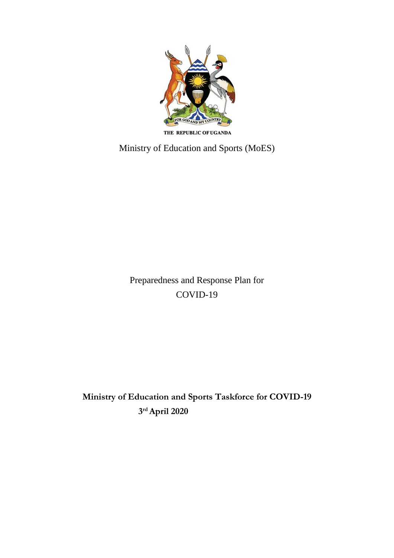

THE REPUBLIC OF UGANDA

Ministry of Education and Sports (MoES)

Preparedness and Response Plan for COVID-19

**Ministry of Education and Sports Taskforce for COVID-19 3 rd April 2020**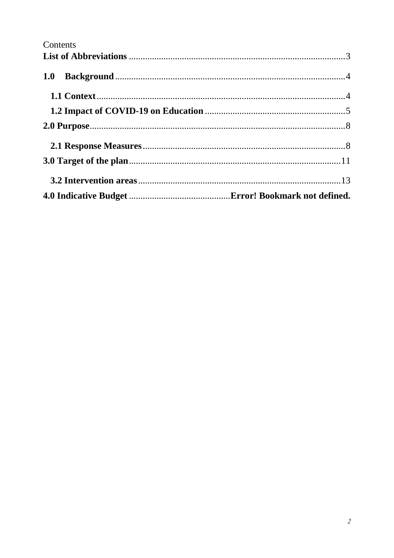# Contents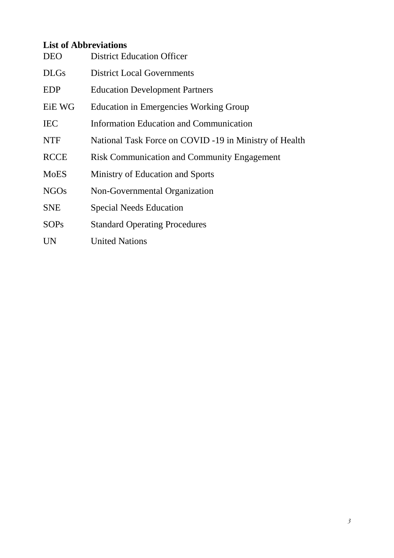# <span id="page-2-0"></span>**List of Abbreviations**

| <b>DEO</b>    | <b>District Education Officer</b>                      |
|---------------|--------------------------------------------------------|
| <b>DLGs</b>   | <b>District Local Governments</b>                      |
| <b>EDP</b>    | <b>Education Development Partners</b>                  |
| <b>EiE WG</b> | <b>Education in Emergencies Working Group</b>          |
| <b>IEC</b>    | Information Education and Communication                |
| <b>NTF</b>    | National Task Force on COVID -19 in Ministry of Health |
| <b>RCCE</b>   | <b>Risk Communication and Community Engagement</b>     |
| <b>MoES</b>   | Ministry of Education and Sports                       |
| <b>NGOs</b>   | Non-Governmental Organization                          |
| <b>SNE</b>    | <b>Special Needs Education</b>                         |
| <b>SOPs</b>   | <b>Standard Operating Procedures</b>                   |
| <b>UN</b>     | <b>United Nations</b>                                  |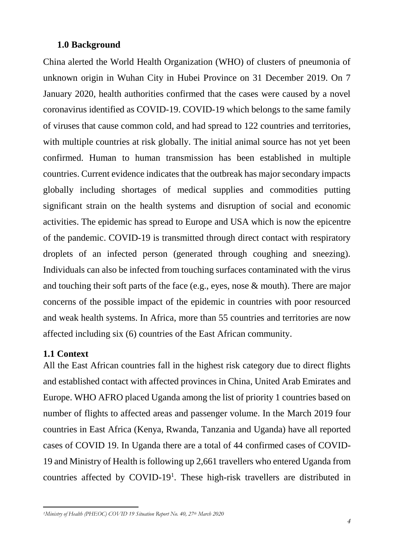#### <span id="page-3-0"></span>**1.0 Background**

China alerted the World Health Organization (WHO) of clusters of pneumonia of unknown origin in Wuhan City in Hubei Province on 31 December 2019. On 7 January 2020, health authorities confirmed that the cases were caused by a novel coronavirus identified as COVID-19. COVID-19 which belongs to the same family of viruses that cause common cold, and had spread to 122 countries and territories, with multiple countries at risk globally. The initial animal source has not yet been confirmed. Human to human transmission has been established in multiple countries. Current evidence indicates that the outbreak has major secondary impacts globally including shortages of medical supplies and commodities putting significant strain on the health systems and disruption of social and economic activities. The epidemic has spread to Europe and USA which is now the epicentre of the pandemic. COVID-19 is transmitted through direct contact with respiratory droplets of an infected person (generated through coughing and sneezing). Individuals can also be infected from touching surfaces contaminated with the virus and touching their soft parts of the face (e.g., eyes, nose & mouth). There are major concerns of the possible impact of the epidemic in countries with poor resourced and weak health systems. In Africa, more than 55 countries and territories are now affected including six (6) countries of the East African community.

#### <span id="page-3-1"></span>**1.1 Context**

All the East African countries fall in the highest risk category due to direct flights and established contact with affected provinces in China, United Arab Emirates and Europe. WHO AFRO placed Uganda among the list of priority 1 countries based on number of flights to affected areas and passenger volume. In the March 2019 four countries in East Africa (Kenya, Rwanda, Tanzania and Uganda) have all reported cases of COVID 19. In Uganda there are a total of 44 confirmed cases of COVID-19 and Ministry of Health is following up 2,661 travellers who entered Uganda from countries affected by COVID-19<sup>1</sup>. These high-risk travellers are distributed in

 $\overline{a}$ *<sup>1</sup>Ministry of Health (PHEOC) COVID 19 Situation Report No. 40, 27th March 2020*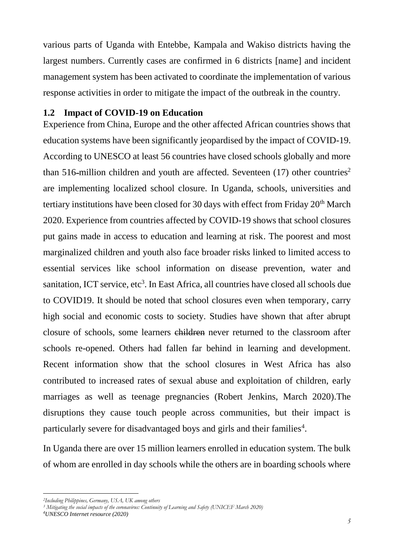various parts of Uganda with Entebbe, Kampala and Wakiso districts having the largest numbers. Currently cases are confirmed in 6 districts [name] and incident management system has been activated to coordinate the implementation of various response activities in order to mitigate the impact of the outbreak in the country.

#### <span id="page-4-0"></span>**1.2 Impact of COVID-19 on Education**

Experience from China, Europe and the other affected African countries shows that education systems have been significantly jeopardised by the impact of COVID-19. According to UNESCO at least 56 countries have closed schools globally and more than 516-million children and youth are affected. Seventeen  $(17)$  other countries<sup>2</sup> are implementing localized school closure. In Uganda, schools, universities and tertiary institutions have been closed for 30 days with effect from Friday  $20<sup>th</sup>$  March 2020. Experience from countries affected by COVID-19 shows that school closures put gains made in access to education and learning at risk. The poorest and most marginalized children and youth also face broader risks linked to limited access to essential services like school information on disease prevention, water and sanitation, ICT service, etc<sup>3</sup>. In East Africa, all countries have closed all schools due to COVID19. It should be noted that school closures even when temporary, carry high social and economic costs to society. Studies have shown that after abrupt closure of schools, some learners children never returned to the classroom after schools re-opened. Others had fallen far behind in learning and development. Recent information show that the school closures in West Africa has also contributed to increased rates of sexual abuse and exploitation of children, early marriages as well as teenage pregnancies (Robert Jenkins, March 2020).The disruptions they cause touch people across communities, but their impact is particularly severe for disadvantaged boys and girls and their families<sup>4</sup>.

In Uganda there are over 15 million learners enrolled in education system. The bulk of whom are enrolled in day schools while the others are in boarding schools where

 $\overline{a}$ 

*<sup>2</sup>Including Philippines, Germany, USA, UK among others*

*<sup>3</sup> Mitigating the social impacts of the coronavirus: Continuity of Learning and Safety (UNICEF March 2020)*

*<sup>4</sup>UNESCO Internet resource (2020)*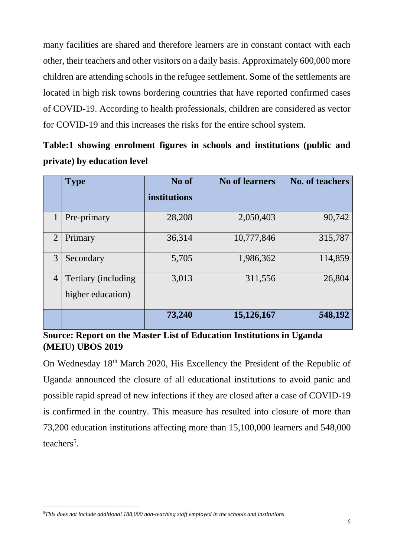many facilities are shared and therefore learners are in constant contact with each other, their teachers and other visitors on a daily basis. Approximately 600,000 more children are attending schools in the refugee settlement. Some of the settlements are located in high risk towns bordering countries that have reported confirmed cases of COVID-19. According to health professionals, children are considered as vector for COVID-19 and this increases the risks for the entire school system.

**Table:1 showing enrolment figures in schools and institutions (public and private) by education level**

|                | <b>Type</b>                               | No of        | <b>No of learners</b> | <b>No. of teachers</b> |
|----------------|-------------------------------------------|--------------|-----------------------|------------------------|
|                |                                           | institutions |                       |                        |
|                | Pre-primary                               | 28,208       | 2,050,403             | 90,742                 |
| $\overline{2}$ | Primary                                   | 36,314       | 10,777,846            | 315,787                |
| 3              | Secondary                                 | 5,705        | 1,986,362             | 114,859                |
| $\overline{4}$ | Tertiary (including)<br>higher education) | 3,013        | 311,556               | 26,804                 |
|                |                                           | 73,240       | 15,126,167            | 548,192                |

## **Source: Report on the Master List of Education Institutions in Uganda (MEIU) UBOS 2019**

On Wednesday 18th March 2020, His Excellency the President of the Republic of Uganda announced the closure of all educational institutions to avoid panic and possible rapid spread of new infections if they are closed after a case of COVID-19 is confirmed in the country. This measure has resulted into closure of more than 73,200 education institutions affecting more than 15,100,000 learners and 548,000 teachers<sup>5</sup>.

 $\ddot{\phantom{a}}$ *5This does not include additional 188,000 non-teaching staff employed in the schools and institutions*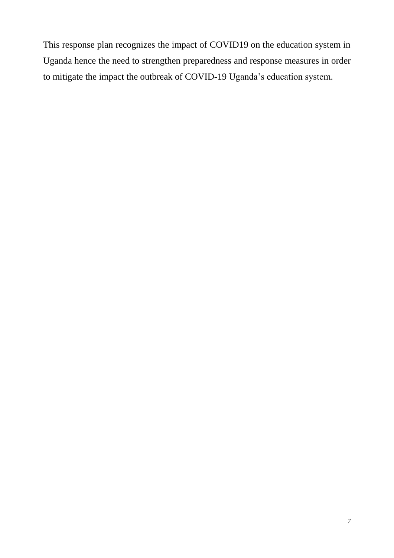This response plan recognizes the impact of COVID19 on the education system in Uganda hence the need to strengthen preparedness and response measures in order to mitigate the impact the outbreak of COVID-19 Uganda's education system.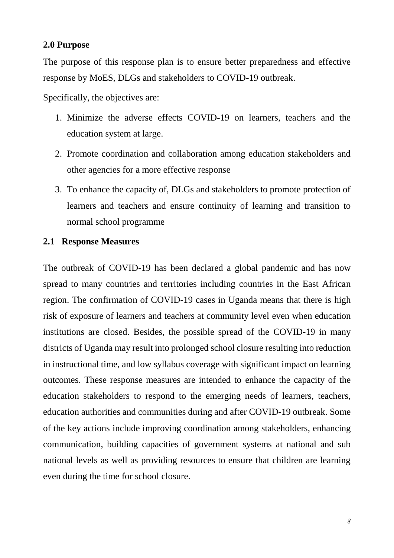#### <span id="page-7-0"></span>**2.0 Purpose**

The purpose of this response plan is to ensure better preparedness and effective response by MoES, DLGs and stakeholders to COVID-19 outbreak.

Specifically, the objectives are:

- 1. Minimize the adverse effects COVID-19 on learners, teachers and the education system at large.
- 2. Promote coordination and collaboration among education stakeholders and other agencies for a more effective response
- 3. To enhance the capacity of, DLGs and stakeholders to promote protection of learners and teachers and ensure continuity of learning and transition to normal school programme

#### <span id="page-7-1"></span>**2.1 Response Measures**

The outbreak of COVID-19 has been declared a global pandemic and has now spread to many countries and territories including countries in the East African region. The confirmation of COVID-19 cases in Uganda means that there is high risk of exposure of learners and teachers at community level even when education institutions are closed. Besides, the possible spread of the COVID-19 in many districts of Uganda may result into prolonged school closure resulting into reduction in instructional time, and low syllabus coverage with significant impact on learning outcomes. These response measures are intended to enhance the capacity of the education stakeholders to respond to the emerging needs of learners, teachers, education authorities and communities during and after COVID-19 outbreak. Some of the key actions include improving coordination among stakeholders, enhancing communication, building capacities of government systems at national and sub national levels as well as providing resources to ensure that children are learning even during the time for school closure.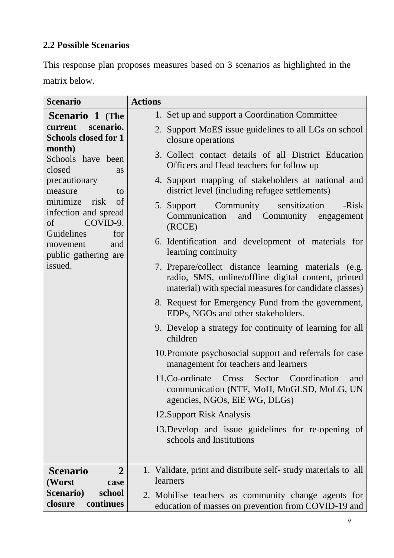# **2.2 Possible Scenarios**

This response plan proposes measures based on 3 scenarios as highlighted in the matrix below.

| <b>Scenario</b>                                                                                                                                                                                                                                                                     | <b>Actions</b>                                                                                                                                                        |
|-------------------------------------------------------------------------------------------------------------------------------------------------------------------------------------------------------------------------------------------------------------------------------------|-----------------------------------------------------------------------------------------------------------------------------------------------------------------------|
| Scenario 1 (The                                                                                                                                                                                                                                                                     | 1. Set up and support a Coordination Committee                                                                                                                        |
| current<br>scenario.<br><b>Schools closed for 1</b><br>month)<br>Schools have been<br>closed<br>as<br>precautionary<br>measure<br>to<br>minimize<br>risk<br>of<br>infection and spread<br>COVID-9.<br>of<br>Guidelines<br>for<br>movement<br>and<br>public gathering are<br>issued. | 2. Support MoES issue guidelines to all LGs on school<br>closure operations                                                                                           |
|                                                                                                                                                                                                                                                                                     | 3. Collect contact details of all District Education<br>Officers and Head teachers for follow up                                                                      |
|                                                                                                                                                                                                                                                                                     | 4. Support mapping of stakeholders at national and<br>district level (including refugee settlements)                                                                  |
|                                                                                                                                                                                                                                                                                     | Community sensitization<br>-Risk<br>5. Support<br>Communication and Community<br>engagement<br>(RCCE)                                                                 |
|                                                                                                                                                                                                                                                                                     | 6. Identification and development of materials for<br>learning continuity                                                                                             |
|                                                                                                                                                                                                                                                                                     | 7. Prepare/collect distance learning materials (e.g.<br>radio, SMS, online/offline digital content, printed<br>material) with special measures for candidate classes) |
|                                                                                                                                                                                                                                                                                     | 8. Request for Emergency Fund from the government,<br>EDPs, NGOs and other stakeholders.                                                                              |
|                                                                                                                                                                                                                                                                                     | 9. Develop a strategy for continuity of learning for all<br>children                                                                                                  |
|                                                                                                                                                                                                                                                                                     | 10. Promote psychosocial support and referrals for case<br>management for teachers and learners                                                                       |
|                                                                                                                                                                                                                                                                                     | Sector Coordination<br>11.Co-ordinate Cross<br>and<br>communication (NTF, MoH, MoGLSD, MoLG, UN<br>agencies, NGOs, EiE WG, DLGs)                                      |
|                                                                                                                                                                                                                                                                                     | 12. Support Risk Analysis                                                                                                                                             |
|                                                                                                                                                                                                                                                                                     | 13. Develop and issue guidelines for re-opening of<br>schools and Institutions                                                                                        |
| $\overline{2}$<br><b>Scenario</b>                                                                                                                                                                                                                                                   | 1. Validate, print and distribute self-study materials to all                                                                                                         |
| (Worst<br>case                                                                                                                                                                                                                                                                      | learners                                                                                                                                                              |
| <b>Scenario</b> )<br>school<br>continues<br>closure                                                                                                                                                                                                                                 | 2. Mobilise teachers as community change agents for<br>education of masses on prevention from COVID-19 and                                                            |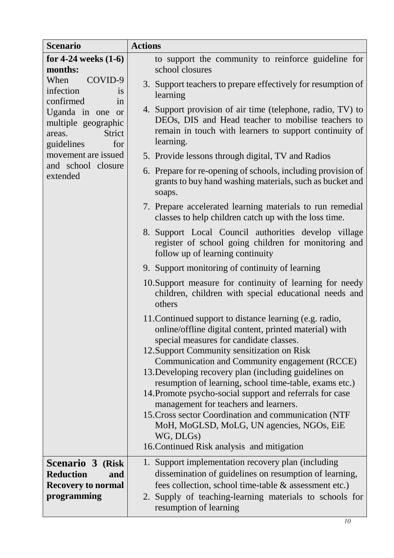| <b>Scenario</b>                                                                                                                                         | <b>Actions</b>                                                                                                                                                                                                                                                                                                                                                                                                                                                                                                                                                                                                                                       |  |
|---------------------------------------------------------------------------------------------------------------------------------------------------------|------------------------------------------------------------------------------------------------------------------------------------------------------------------------------------------------------------------------------------------------------------------------------------------------------------------------------------------------------------------------------------------------------------------------------------------------------------------------------------------------------------------------------------------------------------------------------------------------------------------------------------------------------|--|
| for 4-24 weeks $(1-6)$<br>months:                                                                                                                       | to support the community to reinforce guideline for<br>school closures                                                                                                                                                                                                                                                                                                                                                                                                                                                                                                                                                                               |  |
| When<br>COVID-9<br>infection<br><i>is</i><br>confirmed<br>1n<br>Uganda in one or<br>multiple geographic<br><b>Strict</b><br>areas.<br>for<br>guidelines | 3. Support teachers to prepare effectively for resumption of<br>learning                                                                                                                                                                                                                                                                                                                                                                                                                                                                                                                                                                             |  |
|                                                                                                                                                         | 4. Support provision of air time (telephone, radio, TV) to<br>DEOs, DIS and Head teacher to mobilise teachers to<br>remain in touch with learners to support continuity of<br>learning.                                                                                                                                                                                                                                                                                                                                                                                                                                                              |  |
| movement are issued                                                                                                                                     | 5. Provide lessons through digital, TV and Radios                                                                                                                                                                                                                                                                                                                                                                                                                                                                                                                                                                                                    |  |
| and school closure<br>extended                                                                                                                          | 6. Prepare for re-opening of schools, including provision of<br>grants to buy hand washing materials, such as bucket and<br>soaps.                                                                                                                                                                                                                                                                                                                                                                                                                                                                                                                   |  |
|                                                                                                                                                         | 7. Prepare accelerated learning materials to run remedial<br>classes to help children catch up with the loss time.                                                                                                                                                                                                                                                                                                                                                                                                                                                                                                                                   |  |
|                                                                                                                                                         | 8. Support Local Council authorities develop village<br>register of school going children for monitoring and<br>follow up of learning continuity                                                                                                                                                                                                                                                                                                                                                                                                                                                                                                     |  |
|                                                                                                                                                         | 9. Support monitoring of continuity of learning                                                                                                                                                                                                                                                                                                                                                                                                                                                                                                                                                                                                      |  |
|                                                                                                                                                         | 10. Support measure for continuity of learning for needy<br>children, children with special educational needs and<br>others                                                                                                                                                                                                                                                                                                                                                                                                                                                                                                                          |  |
|                                                                                                                                                         | 11. Continued support to distance learning (e.g. radio,<br>online/offline digital content, printed material) with<br>special measures for candidate classes.<br>12. Support Community sensitization on Risk<br>Communication and Community engagement (RCCE)<br>13. Developing recovery plan (including guidelines on<br>resumption of learning, school time-table, exams etc.)<br>14. Promote psycho-social support and referrals for case<br>management for teachers and learners.<br>15. Cross sector Coordination and communication (NTF<br>MoH, MoGLSD, MoLG, UN agencies, NGOs, EiE<br>WG, DLGs)<br>16. Continued Risk analysis and mitigation |  |
| Scenario 3 (Risk<br><b>Reduction</b><br>and<br><b>Recovery to normal</b><br>programming                                                                 | 1. Support implementation recovery plan (including)<br>dissemination of guidelines on resumption of learning,<br>fees collection, school time-table & assessment etc.)<br>2. Supply of teaching-learning materials to schools for<br>resumption of learning                                                                                                                                                                                                                                                                                                                                                                                          |  |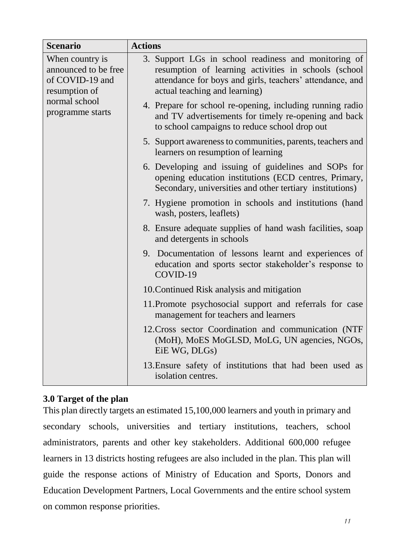| <b>Scenario</b>                                                                                                  | <b>Actions</b>                                                                                                                                                                                            |
|------------------------------------------------------------------------------------------------------------------|-----------------------------------------------------------------------------------------------------------------------------------------------------------------------------------------------------------|
| When country is<br>announced to be free<br>of COVID-19 and<br>resumption of<br>normal school<br>programme starts | 3. Support LGs in school readiness and monitoring of<br>resumption of learning activities in schools (school<br>attendance for boys and girls, teachers' attendance, and<br>actual teaching and learning) |
|                                                                                                                  | 4. Prepare for school re-opening, including running radio<br>and TV advertisements for timely re-opening and back<br>to school campaigns to reduce school drop out                                        |
|                                                                                                                  | 5. Support awareness to communities, parents, teachers and<br>learners on resumption of learning                                                                                                          |
|                                                                                                                  | 6. Developing and issuing of guidelines and SOPs for<br>opening education institutions (ECD centres, Primary,<br>Secondary, universities and other tertiary institutions)                                 |
|                                                                                                                  | 7. Hygiene promotion in schools and institutions (hand<br>wash, posters, leaflets)                                                                                                                        |
|                                                                                                                  | 8. Ensure adequate supplies of hand wash facilities, soap<br>and detergents in schools                                                                                                                    |
|                                                                                                                  | 9. Documentation of lessons learnt and experiences of<br>education and sports sector stakeholder's response to<br>COVID-19                                                                                |
|                                                                                                                  | 10. Continued Risk analysis and mitigation                                                                                                                                                                |
|                                                                                                                  | 11. Promote psychosocial support and referrals for case<br>management for teachers and learners                                                                                                           |
|                                                                                                                  | 12. Cross sector Coordination and communication (NTF<br>(MoH), MoES MoGLSD, MoLG, UN agencies, NGOs,<br>EiE WG, DLGs)                                                                                     |
|                                                                                                                  | 13. Ensure safety of institutions that had been used as<br>isolation centres.                                                                                                                             |

## <span id="page-10-0"></span>**3.0 Target of the plan**

This plan directly targets an estimated 15,100,000 learners and youth in primary and secondary schools, universities and tertiary institutions, teachers, school administrators, parents and other key stakeholders. Additional 600,000 refugee learners in 13 districts hosting refugees are also included in the plan. This plan will guide the response actions of Ministry of Education and Sports, Donors and Education Development Partners, Local Governments and the entire school system on common response priorities.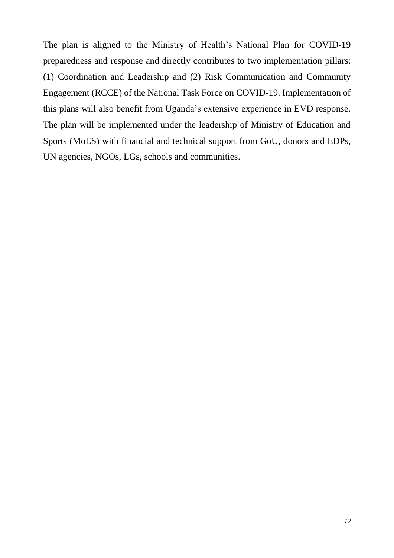The plan is aligned to the Ministry of Health's National Plan for COVID-19 preparedness and response and directly contributes to two implementation pillars: (1) Coordination and Leadership and (2) Risk Communication and Community Engagement (RCCE) of the National Task Force on COVID-19. Implementation of this plans will also benefit from Uganda's extensive experience in EVD response. The plan will be implemented under the leadership of Ministry of Education and Sports (MoES) with financial and technical support from GoU, donors and EDPs, UN agencies, NGOs, LGs, schools and communities.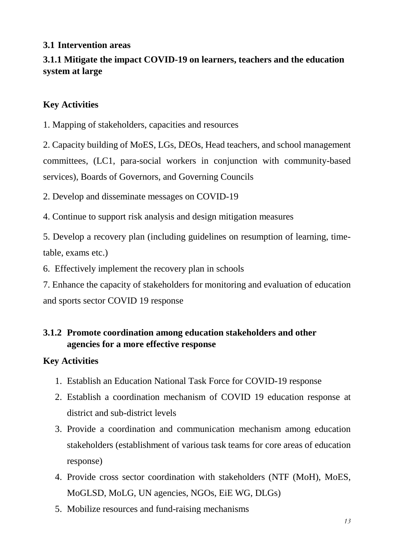## <span id="page-12-0"></span>**3.1 Intervention areas**

# **3.1.1 Mitigate the impact COVID-19 on learners, teachers and the education system at large**

# **Key Activities**

1. Mapping of stakeholders, capacities and resources

2. Capacity building of MoES, LGs, DEOs, Head teachers, and school management committees, (LC1, para-social workers in conjunction with community-based services), Boards of Governors, and Governing Councils

2. Develop and disseminate messages on COVID-19

4. Continue to support risk analysis and design mitigation measures

5. Develop a recovery plan (including guidelines on resumption of learning, timetable, exams etc.)

6. Effectively implement the recovery plan in schools

7. Enhance the capacity of stakeholders for monitoring and evaluation of education and sports sector COVID 19 response

# **3.1.2 Promote coordination among education stakeholders and other agencies for a more effective response**

# **Key Activities**

- 1. Establish an Education National Task Force for COVID-19 response
- 2. Establish a coordination mechanism of COVID 19 education response at district and sub-district levels
- 3. Provide a coordination and communication mechanism among education stakeholders (establishment of various task teams for core areas of education response)
- 4. Provide cross sector coordination with stakeholders (NTF (MoH), MoES, MoGLSD, MoLG, UN agencies, NGOs, EiE WG, DLGs)
- 5. Mobilize resources and fund-raising mechanisms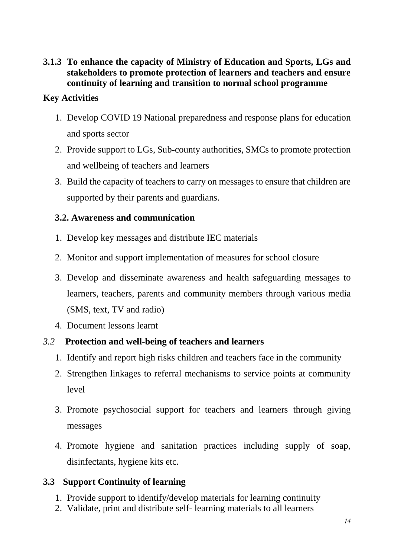**3.1.3 To enhance the capacity of Ministry of Education and Sports, LGs and stakeholders to promote protection of learners and teachers and ensure continuity of learning and transition to normal school programme**

## **Key Activities**

- 1. Develop COVID 19 National preparedness and response plans for education and sports sector
- 2. Provide support to LGs, Sub-county authorities, SMCs to promote protection and wellbeing of teachers and learners
- 3. Build the capacity of teachers to carry on messages to ensure that children are supported by their parents and guardians.

## **3.2. Awareness and communication**

- 1. Develop key messages and distribute IEC materials
- 2. Monitor and support implementation of measures for school closure
- 3. Develop and disseminate awareness and health safeguarding messages to learners, teachers, parents and community members through various media (SMS, text, TV and radio)
- 4. Document lessons learnt

# *3.2* **Protection and well-being of teachers and learners**

- 1. Identify and report high risks children and teachers face in the community
- 2. Strengthen linkages to referral mechanisms to service points at community level
- 3. Promote psychosocial support for teachers and learners through giving messages
- 4. Promote hygiene and sanitation practices including supply of soap, disinfectants, hygiene kits etc.

# **3.3 Support Continuity of learning**

- 1. Provide support to identify/develop materials for learning continuity
- 2. Validate, print and distribute self- learning materials to all learners